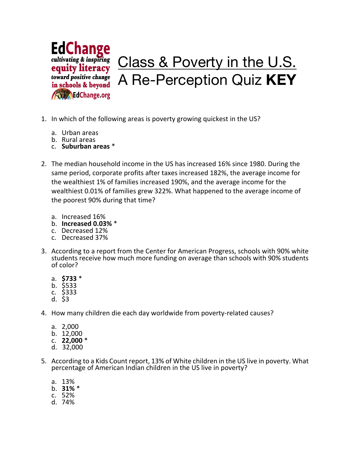

- 1. In which of the following areas is poverty growing quickest in the US?
	- a. Urban areas
	- b. Rural areas
	- c. **Suburban areas** \*
- 2. The median household income in the US has increased 16% since 1980. During the same period, corporate profits after taxes increased 182%, the average income for the wealthiest 1% of families increased 190%, and the average income for the wealthiest 0.01% of families grew 322%. What happened to the average income of the poorest 90% during that time?
	- a. Increased 16%
	- b. **Increased 0.03%** \*
	- c. Decreased 12%
	- c. Decreased 37%
- 3. According to a report from the Center for American Progress, schools with 90% white students receive how much more funding on average than schools with 90% students of color?
	- a. **\$733** \*
	- b. \$533
	- c. \$333
	- d. \$3
- 4. How many children die each day worldwide from poverty-related causes?
	- a. 2,000
	- b. 12,000
	- c. **22,000** \*
	- d.  $32,000$
- 5. According to a Kids Count report, 13% of White children in the US live in poverty. What percentage of American Indian children in the US live in poverty?
	- a. 13%
	- b. **31%** \*
	- c. 52%
	- d. 74%